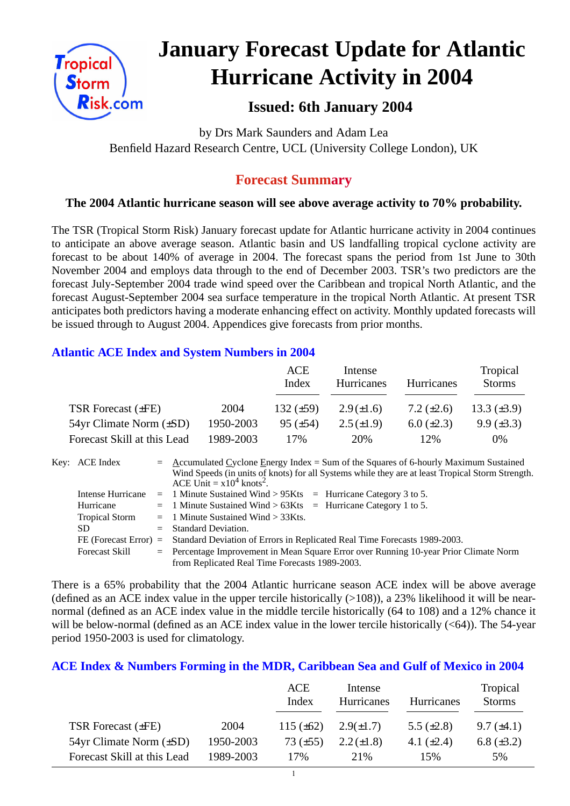

# **January Forecast Update for Atlantic Hurricane Activity in 2004**

# **Issued: 6th January 2004**

by Drs Mark Saunders and Adam Lea Benfield Hazard Research Centre, UCL (University College London), UK

# **Forecast Summary**

# **The 2004 Atlantic hurricane season will see above average activity to 70% probability.**

The TSR (Tropical Storm Risk) January forecast update for Atlantic hurricane activity in 2004 continues to anticipate an above average season. Atlantic basin and US landfalling tropical cyclone activity are forecast to be about 140% of average in 2004. The forecast spans the period from 1st June to 30th November 2004 and employs data through to the end of December 2003. TSR's two predictors are the forecast July-September 2004 trade wind speed over the Caribbean and tropical North Atlantic, and the forecast August-September 2004 sea surface temperature in the tropical North Atlantic. At present TSR anticipates both predictors having a moderate enhancing effect on activity. Monthly updated forecasts will be issued through to August 2004. Appendices give forecasts from prior months.

# **Atlantic ACE Index and System Numbers in 2004**

|                                |           | ACE<br>Index    | Intense<br><b>Hurricanes</b> | <b>Hurricanes</b> | Tropical<br><b>Storms</b> |
|--------------------------------|-----------|-----------------|------------------------------|-------------------|---------------------------|
| TSR Forecast $(\pm FE)$        | 2004      | 132 $(\pm 59)$  | $2.9(\pm 1.6)$               | 7.2 $(\pm 2.6)$   | 13.3 $(\pm 3.9)$          |
| $54yr$ Climate Norm $(\pm SD)$ | 1950-2003 | $95 \ (\pm 54)$ | $2.5(\pm 1.9)$               | $6.0 \ (\pm 2.3)$ | $9.9 \ (\pm 3.3)$         |
| Forecast Skill at this Lead    | 1989-2003 | 17%             | 20%                          | 12%               | $0\%$                     |

| Key: ACE Index        | $=$ Accumulated Cyclone Energy Index = Sum of the Squares of 6-hourly Maximum Sustained                                                     |  |  |  |  |
|-----------------------|---------------------------------------------------------------------------------------------------------------------------------------------|--|--|--|--|
|                       | Wind Speeds (in units of knots) for all Systems while they are at least Tropical Storm Strength.<br>ACE Unit = $x10^4$ knots <sup>2</sup> . |  |  |  |  |
| Intense Hurricane     | $=$ 1 Minute Sustained Wind > 95Kts $=$ Hurricane Category 3 to 5.                                                                          |  |  |  |  |
|                       |                                                                                                                                             |  |  |  |  |
| Hurricane             | $=$ 1 Minute Sustained Wind > 63Kts $=$ Hurricane Category 1 to 5.                                                                          |  |  |  |  |
| <b>Tropical Storm</b> | $=$ 1 Minute Sustained Wind $>$ 33Kts.                                                                                                      |  |  |  |  |
| <b>SD</b>             | $=$ Standard Deviation.                                                                                                                     |  |  |  |  |
|                       | FE (Forecast Error) = Standard Deviation of Errors in Replicated Real Time Forecasts 1989-2003.                                             |  |  |  |  |
| <b>Forecast Skill</b> | $=$ Percentage Improvement in Mean Square Error over Running 10-year Prior Climate Norm                                                     |  |  |  |  |
|                       | from Replicated Real Time Forecasts 1989-2003.                                                                                              |  |  |  |  |

There is a 65% probability that the 2004 Atlantic hurricane season ACE index will be above average (defined as an ACE index value in the upper tercile historically  $(>108)$ ), a 23% likelihood it will be nearnormal (defined as an ACE index value in the middle tercile historically (64 to 108) and a 12% chance it will be below-normal (defined as an ACE index value in the lower tercile historically (<64)). The 54-year period 1950-2003 is used for climatology.

## **ACE Index & Numbers Forming in the MDR, Caribbean Sea and Gulf of Mexico in 2004**

|                                |           | ACE<br>Index   | Intense<br>Hurricanes | Hurricanes      | Tropical<br><b>Storms</b> |
|--------------------------------|-----------|----------------|-----------------------|-----------------|---------------------------|
| TSR Forecast $(\pm FE)$        | 2004      | 115 $(\pm 62)$ | $2.9(\pm 1.7)$        | 5.5 $(\pm 2.8)$ | $9.7 \ (\pm 4.1)$         |
| $54yr$ Climate Norm $(\pm SD)$ | 1950-2003 | 73 $(\pm 55)$  | $2.2 (\pm 1.8)$       | 4.1 $(\pm 2.4)$ | 6.8 $(\pm 3.2)$           |
| Forecast Skill at this Lead    | 1989-2003 | 17%            | 2.1%                  | 15%             | 5%                        |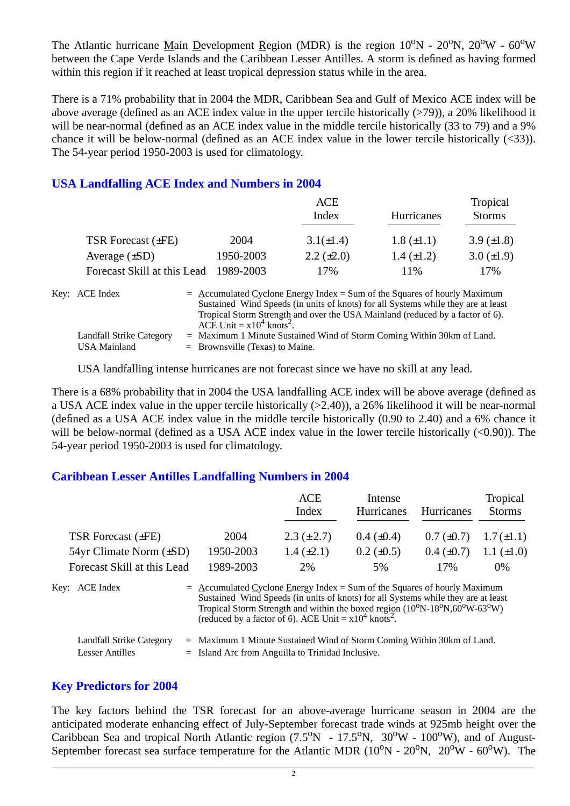The Atlantic hurricane Main Development Region (MDR) is the region  $10^{\circ}N - 20^{\circ}N$ ,  $20^{\circ}W - 60^{\circ}W$ between the Cape Verde Islands and the Caribbean Lesser Antilles. A storm is defined as having formed within this region if it reached at least tropical depression status while in the area.

There is a 71% probability that in 2004 the MDR, Caribbean Sea and Gulf of Mexico ACE index will be above average (defined as an ACE index value in the upper tercile historically  $(>79)$ ), a 20% likelihood it will be near-normal (defined as an ACE index value in the middle tercile historically (33 to 79) and a 9% chance it will be below-normal (defined as an ACE index value in the lower tercile historically (<33)). The 54-year period 1950-2003 is used for climatology.

## **USA Landfalling ACE Index and Numbers in 2004**

|                             |           | <b>ACE</b>                                                                                                                                                                                                                                        |                   | Tropical        |
|-----------------------------|-----------|---------------------------------------------------------------------------------------------------------------------------------------------------------------------------------------------------------------------------------------------------|-------------------|-----------------|
|                             |           | Index                                                                                                                                                                                                                                             | Hurricanes        | <b>Storms</b>   |
| TSR Forecast (±FE)          | 2004      | $3.1(\pm 1.4)$                                                                                                                                                                                                                                    | $1.8 (\pm 1.1)$   | 3.9 $(\pm 1.8)$ |
| Average $(\pm SD)$          | 1950-2003 | $2.2 \ (\pm 2.0)$                                                                                                                                                                                                                                 | $1.4 \ (\pm 1.2)$ | 3.0 $(\pm 1.9)$ |
| Forecast Skill at this Lead | 1989-2003 | 17%                                                                                                                                                                                                                                               | 11\%              | 17%             |
| Key: ACE Index              |           | $=$ Accumulated Cyclone Energy Index = Sum of the Squares of hourly Maximum<br>Sustained Wind Speeds (in units of knots) for all Systems while they are at least<br>Tropical Storm Strength and over the USA Mainland (reduced by a factor of 6). |                   |                 |

ACE Unit  $= x10^4$  knots<sup>2</sup>. Landfall Strike Category = Maximum 1 Minute Sustained Wind of Storm Coming Within 30km of Land. USA Mainland  $=$  Brownsville (Texas) to Maine.

USA landfalling intense hurricanes are not forecast since we have no skill at any lead.

There is a 68% probability that in 2004 the USA landfalling ACE index will be above average (defined as a USA ACE index value in the upper tercile historically (>2.40)), a 26% likelihood it will be near-normal (defined as a USA ACE index value in the middle tercile historically (0.90 to 2.40) and a 6% chance it will be below-normal (defined as a USA ACE index value in the lower tercile historically  $(<0.90$ )). The 54-year period 1950-2003 is used for climatology.

#### **Caribbean Lesser Antilles Landfalling Numbers in 2004**

|                                                    |                                                                                                                                 | <b>ACE</b>                                                                                                                                                                                                                                                                                | Intense           |                 | Tropical        |
|----------------------------------------------------|---------------------------------------------------------------------------------------------------------------------------------|-------------------------------------------------------------------------------------------------------------------------------------------------------------------------------------------------------------------------------------------------------------------------------------------|-------------------|-----------------|-----------------|
|                                                    |                                                                                                                                 | Index                                                                                                                                                                                                                                                                                     | <b>Hurricanes</b> | Hurricanes      | <b>Storms</b>   |
| TSR Forecast $(\pm FE)$                            | 2004                                                                                                                            | $2.3 (\pm 2.7)$                                                                                                                                                                                                                                                                           | $0.4~(\pm 0.4)$   | $0.7 (\pm 0.7)$ | $1.7(\pm 1.1)$  |
| $54yr$ Climate Norm $(\pm SD)$                     | 1950-2003                                                                                                                       | $1.4 \ (\pm 2.1)$                                                                                                                                                                                                                                                                         | $0.2 \ (\pm 0.5)$ | $0.4~(\pm 0.7)$ | 1.1 $(\pm 1.0)$ |
| Forecast Skill at this Lead                        | 1989-2003                                                                                                                       | 2%                                                                                                                                                                                                                                                                                        | 5%                | 17%             | $0\%$           |
| Key: ACE Index                                     | $=$ Accumulated Cyclone Energy Index = Sum of the Squares of hourly Maximum                                                     | Sustained Wind Speeds (in units of knots) for all Systems while they are at least<br>Tropical Storm Strength and within the boxed region (10 <sup>o</sup> N-18 <sup>o</sup> N,60 <sup>o</sup> W-63 <sup>o</sup> W)<br>(reduced by a factor of 6). ACE Unit = $x10^4$ knots <sup>2</sup> . |                   |                 |                 |
| Landfall Strike Category<br><b>Lesser Antilles</b> | $=$ Maximum 1 Minute Sustained Wind of Storm Coming Within 30km of Land.<br>$=$ Island Arc from Anguilla to Trinidad Inclusive. |                                                                                                                                                                                                                                                                                           |                   |                 |                 |

#### **Key Predictors for 2004**

The key factors behind the TSR forecast for an above-average hurricane season in 2004 are the anticipated moderate enhancing effect of July-September forecast trade winds at 925mb height over the Caribbean Sea and tropical North Atlantic region  $(7.5^{\circ}N - 17.5^{\circ}N, 30^{\circ}W - 100^{\circ}W)$ , and of August-September forecast sea surface temperature for the Atlantic MDR  $(10^{\circ}N - 20^{\circ}N, 20^{\circ}W - 60^{\circ}W)$ . The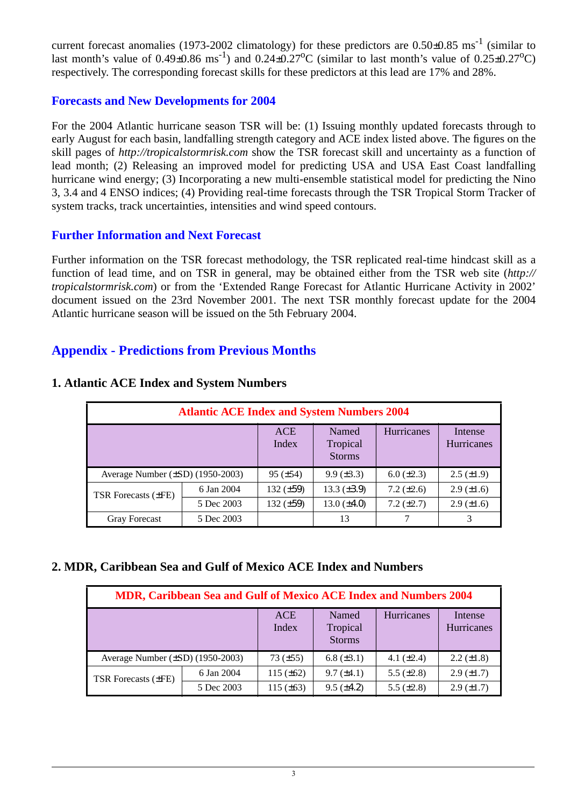current forecast anomalies (1973-2002 climatology) for these predictors are  $0.50\pm0.85$  ms<sup>-1</sup> (similar to last month's value of  $0.49\pm0.86$  ms<sup>-1</sup>) and  $0.24\pm0.27$ °C (similar to last month's value of  $0.25\pm0.27$ °C) respectively. The corresponding forecast skills for these predictors at this lead are 17% and 28%.

## **Forecasts and New Developments for 2004**

For the 2004 Atlantic hurricane season TSR will be: (1) Issuing monthly updated forecasts through to early August for each basin, landfalling strength category and ACE index listed above. The figures on the skill pages of *http://tropicalstormrisk.com* show the TSR forecast skill and uncertainty as a function of lead month; (2) Releasing an improved model for predicting USA and USA East Coast landfalling hurricane wind energy; (3) Incorporating a new multi-ensemble statistical model for predicting the Nino 3, 3.4 and 4 ENSO indices; (4) Providing real-time forecasts through the TSR Tropical Storm Tracker of system tracks, track uncertainties, intensities and wind speed contours.

# **Further Information and Next Forecast**

Further information on the TSR forecast methodology, the TSR replicated real-time hindcast skill as a function of lead time, and on TSR in general, may be obtained either from the TSR web site (*http:// tropicalstormrisk.com*) or from the 'Extended Range Forecast for Atlantic Hurricane Activity in 2002' document issued on the 23rd November 2001. The next TSR monthly forecast update for the 2004 Atlantic hurricane season will be issued on the 5th February 2004.

# **Appendix - Predictions from Previous Months**

| <b>Atlantic ACE Index and System Numbers 2004</b> |            |                     |                                    |                   |                              |  |  |  |
|---------------------------------------------------|------------|---------------------|------------------------------------|-------------------|------------------------------|--|--|--|
|                                                   |            | <b>ACE</b><br>Index | Named<br>Tropical<br><b>Storms</b> | <b>Hurricanes</b> | Intense<br><b>Hurricanes</b> |  |  |  |
| Average Number $(\pm SD)$ (1950-2003)             |            | $95 (\pm 54)$       | $9.9 \ (\pm 3.3)$                  | $6.0 (\pm 2.3)$   | $2.5 \ (\pm 1.9)$            |  |  |  |
| <b>TSR</b> Forecasts ( $\pm$ FE)                  | 6 Jan 2004 | 132 $(\pm 59)$      | 13.3 $(\pm 3.9)$                   | 7.2 $(\pm 2.6)$   | $2.9 \ (\pm 1.6)$            |  |  |  |
|                                                   | 5 Dec 2003 | 132 $(\pm 59)$      | 13.0 $(\pm 4.0)$                   | $7.2 (\pm 2.7)$   | $2.9 \ (\pm 1.6)$            |  |  |  |
| <b>Gray Forecast</b>                              | 5 Dec 2003 |                     | 13                                 |                   |                              |  |  |  |

## **1. Atlantic ACE Index and System Numbers**

## **2. MDR, Caribbean Sea and Gulf of Mexico ACE Index and Numbers**

| MDR, Caribbean Sea and Gulf of Mexico ACE Index and Numbers 2004 |            |                     |                                    |                 |                       |  |  |
|------------------------------------------------------------------|------------|---------------------|------------------------------------|-----------------|-----------------------|--|--|
|                                                                  |            | <b>ACE</b><br>Index | Named<br>Tropical<br><b>Storms</b> | Hurricanes      | Intense<br>Hurricanes |  |  |
| Average Number $(\pm SD)$ (1950-2003)                            |            | $73 (\pm 55)$       | $6.8 (\pm 3.1)$                    | 4.1 $(\pm 2.4)$ | $2.2 \ (\pm 1.8)$     |  |  |
| <b>TSR Forecasts (±FE)</b>                                       | 6 Jan 2004 | 115 $(\pm 62)$      | $9.7 (\pm 4.1)$                    | 5.5 $(\pm 2.8)$ | $2.9 \ (\pm 1.7)$     |  |  |
|                                                                  | 5 Dec 2003 | 115 $(\pm 63)$      | $9.5 (\pm 4.2)$                    | 5.5 $(\pm 2.8)$ | $2.9 \ (\pm 1.7)$     |  |  |